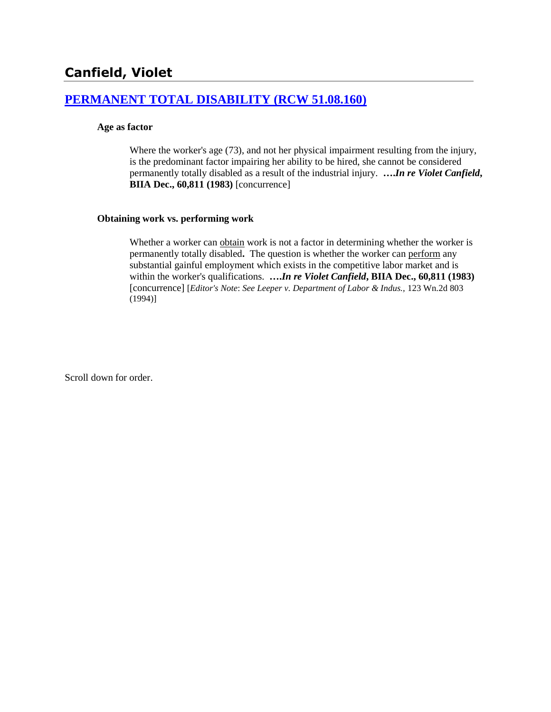# **Canfield, Violet**

# **[PERMANENT TOTAL DISABILITY \(RCW 51.08.160\)](http://www.biia.wa.gov/SDSubjectIndex.html#PERMANENT_TOTAL_DISABILITY)**

#### **Age as factor**

Where the worker's age (73), and not her physical impairment resulting from the injury, is the predominant factor impairing her ability to be hired, she cannot be considered permanently totally disabled as a result of the industrial injury. **….***In re Violet Canfield***, BIIA Dec., 60,811 (1983)** [concurrence]

#### **Obtaining work vs. performing work**

Whether a worker can obtain work is not a factor in determining whether the worker is permanently totally disabled**.** The question is whether the worker can perform any substantial gainful employment which exists in the competitive labor market and is within the worker's qualifications. **….***In re Violet Canfield***, BIIA Dec., 60,811 (1983)** [concurrence] [*Editor's Note*: *See Leeper v. Department of Labor & Indus.,* 123 Wn.2d 803 (1994)]

Scroll down for order.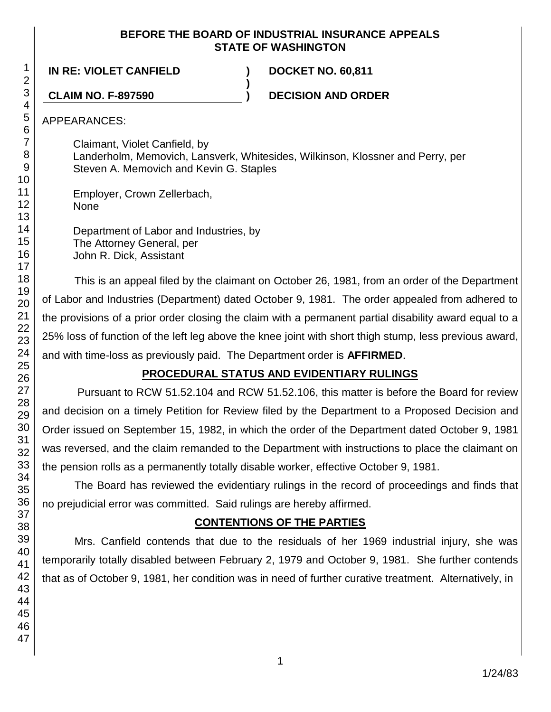## **BEFORE THE BOARD OF INDUSTRIAL INSURANCE APPEALS STATE OF WASHINGTON**

**IN RE: VIOLET CANFIELD ) DOCKET NO. 60,811**

**CLAIM NO. F-897590 ) DECISION AND ORDER**

APPEARANCES:

Claimant, Violet Canfield, by Landerholm, Memovich, Lansverk, Whitesides, Wilkinson, Klossner and Perry, per Steven A. Memovich and Kevin G. Staples

**)**

Employer, Crown Zellerbach, None

Department of Labor and Industries, by The Attorney General, per John R. Dick, Assistant

This is an appeal filed by the claimant on October 26, 1981, from an order of the Department of Labor and Industries (Department) dated October 9, 1981. The order appealed from adhered to the provisions of a prior order closing the claim with a permanent partial disability award equal to a 25% loss of function of the left leg above the knee joint with short thigh stump, less previous award, and with time-loss as previously paid. The Department order is **AFFIRMED**.

# **PROCEDURAL STATUS AND EVIDENTIARY RULINGS**

Pursuant to RCW 51.52.104 and RCW 51.52.106, this matter is before the Board for review and decision on a timely Petition for Review filed by the Department to a Proposed Decision and Order issued on September 15, 1982, in which the order of the Department dated October 9, 1981 was reversed, and the claim remanded to the Department with instructions to place the claimant on the pension rolls as a permanently totally disable worker, effective October 9, 1981.

The Board has reviewed the evidentiary rulings in the record of proceedings and finds that no prejudicial error was committed. Said rulings are hereby affirmed.

# **CONTENTIONS OF THE PARTIES**

Mrs. Canfield contends that due to the residuals of her 1969 industrial injury, she was temporarily totally disabled between February 2, 1979 and October 9, 1981. She further contends that as of October 9, 1981, her condition was in need of further curative treatment. Alternatively, in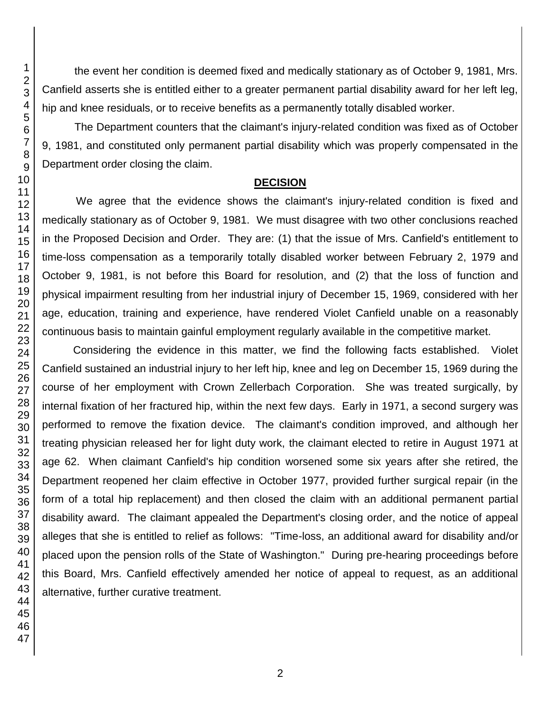the event her condition is deemed fixed and medically stationary as of October 9, 1981, Mrs. Canfield asserts she is entitled either to a greater permanent partial disability award for her left leg, hip and knee residuals, or to receive benefits as a permanently totally disabled worker.

The Department counters that the claimant's injury-related condition was fixed as of October 9, 1981, and constituted only permanent partial disability which was properly compensated in the Department order closing the claim.

# **DECISION**

We agree that the evidence shows the claimant's injury-related condition is fixed and medically stationary as of October 9, 1981. We must disagree with two other conclusions reached in the Proposed Decision and Order. They are: (1) that the issue of Mrs. Canfield's entitlement to time-loss compensation as a temporarily totally disabled worker between February 2, 1979 and October 9, 1981, is not before this Board for resolution, and (2) that the loss of function and physical impairment resulting from her industrial injury of December 15, 1969, considered with her age, education, training and experience, have rendered Violet Canfield unable on a reasonably continuous basis to maintain gainful employment regularly available in the competitive market.

Considering the evidence in this matter, we find the following facts established. Violet Canfield sustained an industrial injury to her left hip, knee and leg on December 15, 1969 during the course of her employment with Crown Zellerbach Corporation. She was treated surgically, by internal fixation of her fractured hip, within the next few days. Early in 1971, a second surgery was performed to remove the fixation device. The claimant's condition improved, and although her treating physician released her for light duty work, the claimant elected to retire in August 1971 at age 62. When claimant Canfield's hip condition worsened some six years after she retired, the Department reopened her claim effective in October 1977, provided further surgical repair (in the form of a total hip replacement) and then closed the claim with an additional permanent partial disability award. The claimant appealed the Department's closing order, and the notice of appeal alleges that she is entitled to relief as follows: "Time-loss, an additional award for disability and/or placed upon the pension rolls of the State of Washington." During pre-hearing proceedings before this Board, Mrs. Canfield effectively amended her notice of appeal to request, as an additional alternative, further curative treatment.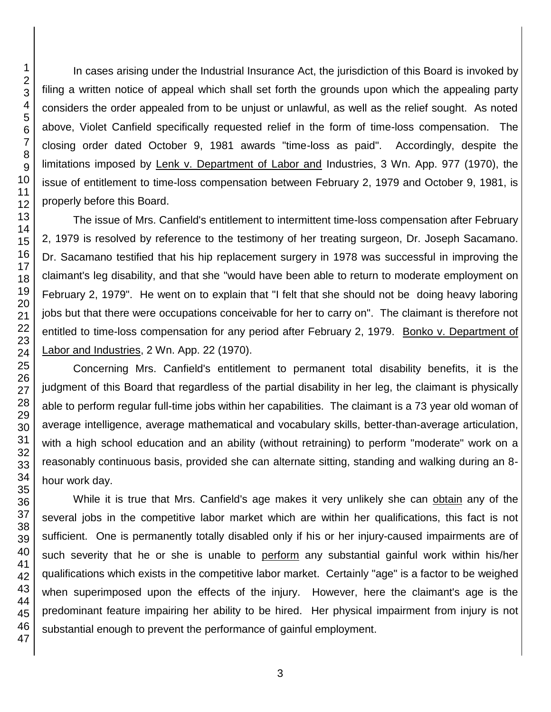In cases arising under the Industrial Insurance Act, the jurisdiction of this Board is invoked by filing a written notice of appeal which shall set forth the grounds upon which the appealing party considers the order appealed from to be unjust or unlawful, as well as the relief sought. As noted above, Violet Canfield specifically requested relief in the form of time-loss compensation. The closing order dated October 9, 1981 awards "time-loss as paid". Accordingly, despite the limitations imposed by Lenk v. Department of Labor and Industries, 3 Wn. App. 977 (1970), the issue of entitlement to time-loss compensation between February 2, 1979 and October 9, 1981, is properly before this Board.

The issue of Mrs. Canfield's entitlement to intermittent time-loss compensation after February 2, 1979 is resolved by reference to the testimony of her treating surgeon, Dr. Joseph Sacamano. Dr. Sacamano testified that his hip replacement surgery in 1978 was successful in improving the claimant's leg disability, and that she "would have been able to return to moderate employment on February 2, 1979". He went on to explain that "I felt that she should not be doing heavy laboring jobs but that there were occupations conceivable for her to carry on". The claimant is therefore not entitled to time-loss compensation for any period after February 2, 1979. Bonko v. Department of Labor and Industries, 2 Wn. App. 22 (1970).

Concerning Mrs. Canfield's entitlement to permanent total disability benefits, it is the judgment of this Board that regardless of the partial disability in her leg, the claimant is physically able to perform regular full-time jobs within her capabilities. The claimant is a 73 year old woman of average intelligence, average mathematical and vocabulary skills, better-than-average articulation, with a high school education and an ability (without retraining) to perform "moderate" work on a reasonably continuous basis, provided she can alternate sitting, standing and walking during an 8 hour work day.

While it is true that Mrs. Canfield's age makes it very unlikely she can obtain any of the several jobs in the competitive labor market which are within her qualifications, this fact is not sufficient. One is permanently totally disabled only if his or her injury-caused impairments are of such severity that he or she is unable to perform any substantial gainful work within his/her qualifications which exists in the competitive labor market. Certainly "age" is a factor to be weighed when superimposed upon the effects of the injury. However, here the claimant's age is the predominant feature impairing her ability to be hired. Her physical impairment from injury is not substantial enough to prevent the performance of gainful employment.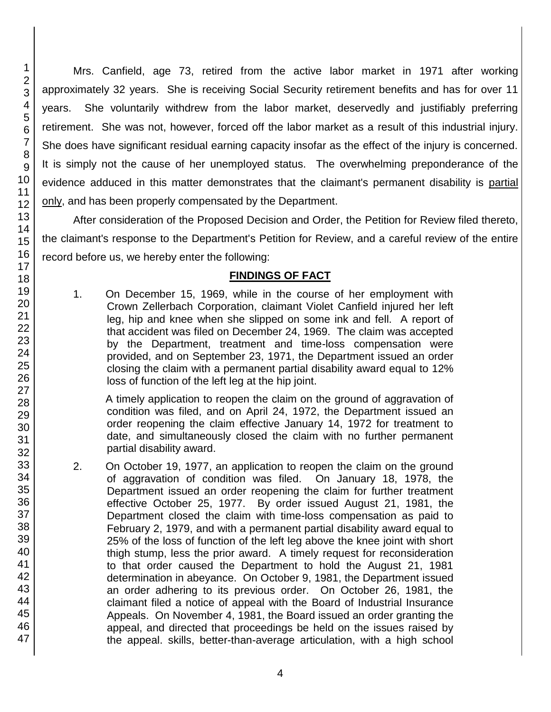Mrs. Canfield, age 73, retired from the active labor market in 1971 after working approximately 32 years. She is receiving Social Security retirement benefits and has for over 11 years. She voluntarily withdrew from the labor market, deservedly and justifiably preferring retirement. She was not, however, forced off the labor market as a result of this industrial injury. She does have significant residual earning capacity insofar as the effect of the injury is concerned. It is simply not the cause of her unemployed status. The overwhelming preponderance of the evidence adduced in this matter demonstrates that the claimant's permanent disability is partial only, and has been properly compensated by the Department.

After consideration of the Proposed Decision and Order, the Petition for Review filed thereto, the claimant's response to the Department's Petition for Review, and a careful review of the entire record before us, we hereby enter the following:

# **FINDINGS OF FACT**

1. On December 15, 1969, while in the course of her employment with Crown Zellerbach Corporation, claimant Violet Canfield injured her left leg, hip and knee when she slipped on some ink and fell. A report of that accident was filed on December 24, 1969. The claim was accepted by the Department, treatment and time-loss compensation were provided, and on September 23, 1971, the Department issued an order closing the claim with a permanent partial disability award equal to 12% loss of function of the left leg at the hip joint.

A timely application to reopen the claim on the ground of aggravation of condition was filed, and on April 24, 1972, the Department issued an order reopening the claim effective January 14, 1972 for treatment to date, and simultaneously closed the claim with no further permanent partial disability award.

2. On October 19, 1977, an application to reopen the claim on the ground of aggravation of condition was filed. On January 18, 1978, the Department issued an order reopening the claim for further treatment effective October 25, 1977. By order issued August 21, 1981, the Department closed the claim with time-loss compensation as paid to February 2, 1979, and with a permanent partial disability award equal to 25% of the loss of function of the left leg above the knee joint with short thigh stump, less the prior award. A timely request for reconsideration to that order caused the Department to hold the August 21, 1981 determination in abeyance. On October 9, 1981, the Department issued an order adhering to its previous order. On October 26, 1981, the claimant filed a notice of appeal with the Board of Industrial Insurance Appeals. On November 4, 1981, the Board issued an order granting the appeal, and directed that proceedings be held on the issues raised by the appeal. skills, better-than-average articulation, with a high school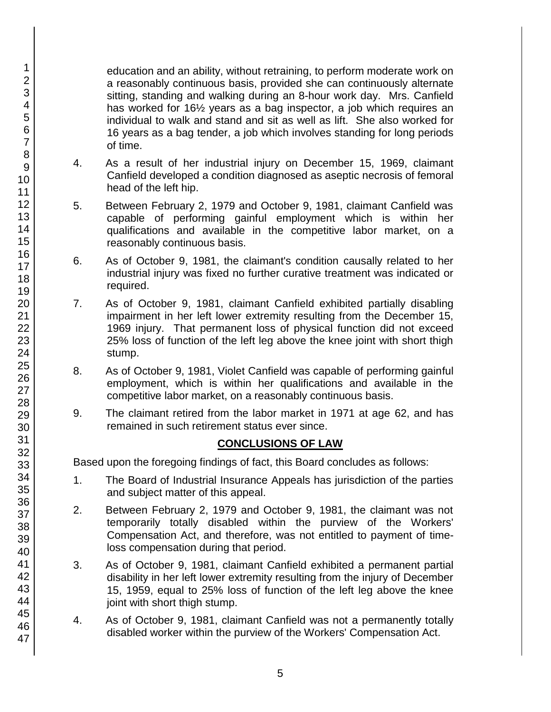education and an ability, without retraining, to perform moderate work on a reasonably continuous basis, provided she can continuously alternate sitting, standing and walking during an 8-hour work day. Mrs. Canfield has worked for 16½ years as a bag inspector, a job which requires an individual to walk and stand and sit as well as lift. She also worked for 16 years as a bag tender, a job which involves standing for long periods of time.

- 4. As a result of her industrial injury on December 15, 1969, claimant Canfield developed a condition diagnosed as aseptic necrosis of femoral head of the left hip.
- 5. Between February 2, 1979 and October 9, 1981, claimant Canfield was capable of performing gainful employment which is within her qualifications and available in the competitive labor market, on a reasonably continuous basis.
- 6. As of October 9, 1981, the claimant's condition causally related to her industrial injury was fixed no further curative treatment was indicated or required.
- 7. As of October 9, 1981, claimant Canfield exhibited partially disabling impairment in her left lower extremity resulting from the December 15, 1969 injury. That permanent loss of physical function did not exceed 25% loss of function of the left leg above the knee joint with short thigh stump.
- 8. As of October 9, 1981, Violet Canfield was capable of performing gainful employment, which is within her qualifications and available in the competitive labor market, on a reasonably continuous basis.
- 9. The claimant retired from the labor market in 1971 at age 62, and has remained in such retirement status ever since.

# **CONCLUSIONS OF LAW**

Based upon the foregoing findings of fact, this Board concludes as follows:

- 1. The Board of Industrial Insurance Appeals has jurisdiction of the parties and subject matter of this appeal.
- 2. Between February 2, 1979 and October 9, 1981, the claimant was not temporarily totally disabled within the purview of the Workers' Compensation Act, and therefore, was not entitled to payment of timeloss compensation during that period.
- 3. As of October 9, 1981, claimant Canfield exhibited a permanent partial disability in her left lower extremity resulting from the injury of December 15, 1959, equal to 25% loss of function of the left leg above the knee joint with short thigh stump.
- 4. As of October 9, 1981, claimant Canfield was not a permanently totally disabled worker within the purview of the Workers' Compensation Act.